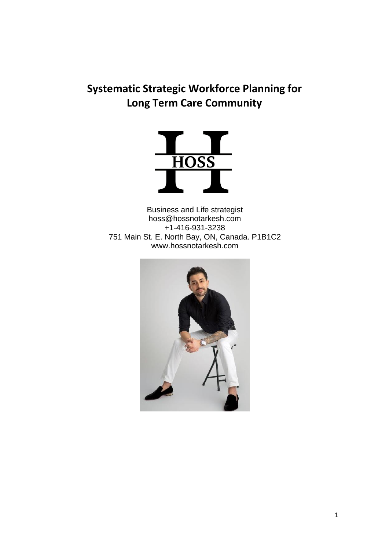# **Systematic Strategic Workforce Planning for Long Term Care Community**



Business and Life strategist hoss@hossnotarkesh.com +1-416-931-3238 751 Main St. E. North Bay, ON, Canada. P1B1C2 www.hossnotarkesh.com

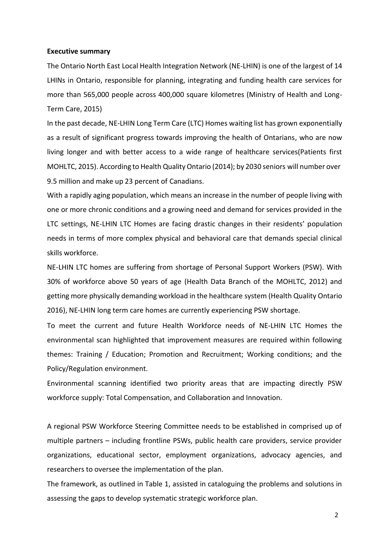#### **Executive summary**

The Ontario North East Local Health Integration Network (NE-LHIN) is one of the largest of 14 LHINs in Ontario, responsible for planning, integrating and funding health care services for more than 565,000 people across 400,000 square kilometres (Ministry of Health and Long-Term Care, 2015)

In the past decade, NE-LHIN Long Term Care (LTC) Homes waiting list has grown exponentially as a result of significant progress towards improving the health of Ontarians, who are now living longer and with better access to a wide range of healthcare services(Patients first MOHLTC, 2015). According to Health Quality Ontario (2014); by 2030 seniors will number over 9.5 million and make up 23 percent of Canadians.

With a rapidly aging population, which means an increase in the number of people living with one or more chronic conditions and a growing need and demand for services provided in the LTC settings, NE-LHIN LTC Homes are facing drastic changes in their residents' population needs in terms of more complex physical and behavioral care that demands special clinical skills workforce.

NE-LHIN LTC homes are suffering from shortage of Personal Support Workers (PSW). With 30% of workforce above 50 years of age (Health Data Branch of the MOHLTC, 2012) and getting more physically demanding workload in the healthcare system (Health Quality Ontario 2016), NE-LHIN long term care homes are currently experiencing PSW shortage.

To meet the current and future Health Workforce needs of NE-LHIN LTC Homes the environmental scan highlighted that improvement measures are required within following themes: Training / Education; Promotion and Recruitment; Working conditions; and the Policy/Regulation environment.

Environmental scanning identified two priority areas that are impacting directly PSW workforce supply: Total Compensation, and Collaboration and Innovation.

A regional PSW Workforce Steering Committee needs to be established in comprised up of multiple partners – including frontline PSWs, public health care providers, service provider organizations, educational sector, employment organizations, advocacy agencies, and researchers to oversee the implementation of the plan.

The framework, as outlined in Table 1, assisted in cataloguing the problems and solutions in assessing the gaps to develop systematic strategic workforce plan.

2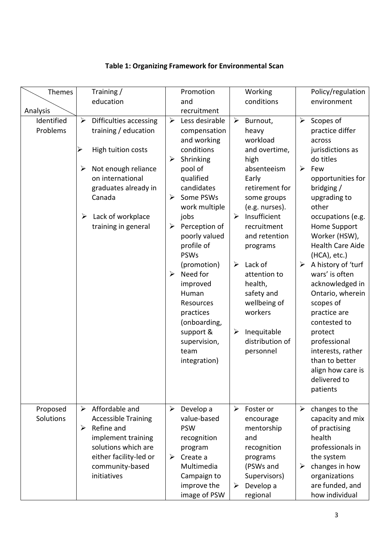## **Table 1: Organizing Framework for Environmental Scan**

| Themes     |                       | Training /                              |                       | Promotion                 |                       | Working                        |                       | Policy/regulation                 |
|------------|-----------------------|-----------------------------------------|-----------------------|---------------------------|-----------------------|--------------------------------|-----------------------|-----------------------------------|
|            |                       | education                               |                       | and                       |                       | conditions                     |                       | environment                       |
| Analysis   |                       |                                         |                       | recruitment               |                       |                                |                       |                                   |
| Identified | $\blacktriangleright$ | Difficulties accessing                  | $\blacktriangleright$ | Less desirable            | $\blacktriangleright$ | Burnout,                       | $\blacktriangleright$ | Scopes of                         |
| Problems   |                       | training / education                    |                       | compensation              |                       | heavy                          |                       | practice differ                   |
|            |                       |                                         |                       | and working               |                       | workload                       |                       | across                            |
|            | ≻                     | High tuition costs                      |                       | conditions                |                       | and overtime,                  |                       | jurisdictions as<br>do titles     |
|            |                       |                                         | ➤                     | Shrinking                 |                       | high                           | $\blacktriangleright$ | Few                               |
|            | ➤                     | Not enough reliance<br>on international |                       | pool of<br>qualified      |                       | absenteeism<br>Early           |                       | opportunities for                 |
|            |                       | graduates already in                    |                       | candidates                |                       | retirement for                 |                       | bridging /                        |
|            |                       | Canada                                  | ➤                     | Some PSWs                 |                       | some groups                    |                       | upgrading to                      |
|            |                       |                                         |                       | work multiple             |                       | (e.g. nurses).                 |                       | other                             |
|            | ➤                     | Lack of workplace                       |                       | jobs                      | $\blacktriangleright$ | Insufficient                   |                       | occupations (e.g.                 |
|            |                       | training in general                     | ➤                     | Perception of             |                       | recruitment                    |                       | Home Support                      |
|            |                       |                                         |                       | poorly valued             |                       | and retention                  |                       | Worker (HSW),                     |
|            |                       |                                         |                       | profile of                |                       | programs                       |                       | <b>Health Care Aide</b>           |
|            |                       |                                         |                       | <b>PSWs</b>               |                       |                                |                       | (HCA), etc.)                      |
|            |                       |                                         |                       | (promotion)               | $\blacktriangleright$ | Lack of                        | ➤                     | A history of 'turf                |
|            |                       |                                         | ➤                     | Need for                  |                       | attention to                   |                       | wars' is often                    |
|            |                       |                                         |                       | improved                  |                       | health,                        |                       | acknowledged in                   |
|            |                       |                                         |                       | Human                     |                       | safety and                     |                       | Ontario, wherein                  |
|            |                       |                                         |                       | Resources                 |                       | wellbeing of                   |                       | scopes of                         |
|            |                       |                                         |                       | practices                 |                       | workers                        |                       | practice are                      |
|            |                       |                                         |                       | (onboarding,              |                       |                                |                       | contested to                      |
|            |                       |                                         |                       | support &<br>supervision, | ➤                     | Inequitable<br>distribution of |                       | protect<br>professional           |
|            |                       |                                         |                       | team                      |                       | personnel                      |                       | interests, rather                 |
|            |                       |                                         |                       | integration)              |                       |                                |                       | than to better                    |
|            |                       |                                         |                       |                           |                       |                                |                       | align how care is                 |
|            |                       |                                         |                       |                           |                       |                                |                       | delivered to                      |
|            |                       |                                         |                       |                           |                       |                                |                       | patients                          |
|            |                       |                                         |                       |                           |                       |                                |                       |                                   |
| Proposed   | ➤                     | Affordable and                          | $\blacktriangleright$ | Develop a                 | $\blacktriangleright$ | Foster or                      | $\blacktriangleright$ | changes to the                    |
| Solutions  |                       | <b>Accessible Training</b>              |                       | value-based               |                       | encourage                      |                       | capacity and mix                  |
|            | ➤                     | Refine and                              |                       | <b>PSW</b>                |                       | mentorship                     |                       | of practising                     |
|            |                       | implement training                      |                       | recognition               |                       | and                            |                       | health                            |
|            |                       | solutions which are                     |                       | program                   |                       | recognition                    |                       | professionals in                  |
|            |                       | either facility-led or                  | $\blacktriangleright$ | Create a                  |                       | programs                       |                       | the system                        |
|            |                       | community-based                         |                       | Multimedia                |                       | (PSWs and                      | ➤                     | changes in how                    |
|            |                       | initiatives                             |                       | Campaign to               |                       | Supervisors)                   |                       | organizations                     |
|            |                       |                                         |                       | improve the               | ➤                     | Develop a                      |                       | are funded, and<br>how individual |
|            |                       |                                         |                       | image of PSW              |                       | regional                       |                       |                                   |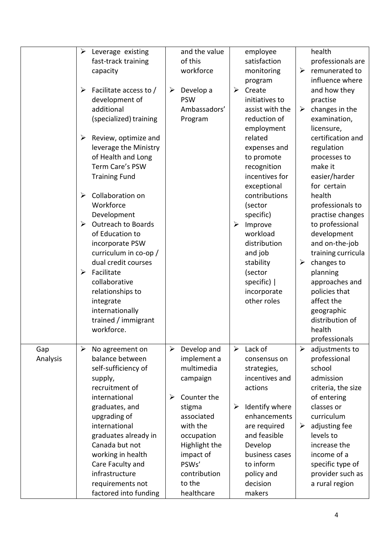|                 | $\blacktriangleright$<br>➤<br>➤                                         | Leverage existing<br>fast-track training<br>capacity<br>Facilitate access to /<br>development of<br>additional<br>(specialized) training<br>Review, optimize and<br>leverage the Ministry<br>of Health and Long<br>Term Care's PSW                                                                              | ➤                                              | and the value<br>of this<br>workforce<br>Develop a<br><b>PSW</b><br>Ambassadors'<br>Program                                                                                                          | ➤                          | employee<br>satisfaction<br>monitoring<br>program<br>Create<br>initiatives to<br>assist with the<br>reduction of<br>employment<br>related<br>expenses and<br>to promote<br>recognition                              | ➤<br>➤                     | health<br>professionals are<br>remunerated to<br>influence where<br>and how they<br>practise<br>changes in the<br>examination,<br>licensure,<br>certification and<br>regulation<br>processes to<br>make it                                                                                      |
|-----------------|-------------------------------------------------------------------------|-----------------------------------------------------------------------------------------------------------------------------------------------------------------------------------------------------------------------------------------------------------------------------------------------------------------|------------------------------------------------|------------------------------------------------------------------------------------------------------------------------------------------------------------------------------------------------------|----------------------------|---------------------------------------------------------------------------------------------------------------------------------------------------------------------------------------------------------------------|----------------------------|-------------------------------------------------------------------------------------------------------------------------------------------------------------------------------------------------------------------------------------------------------------------------------------------------|
|                 | $\blacktriangleright$<br>$\blacktriangleright$<br>$\blacktriangleright$ | <b>Training Fund</b><br>Collaboration on<br>Workforce<br>Development<br><b>Outreach to Boards</b><br>of Education to<br>incorporate PSW<br>curriculum in co-op /<br>dual credit courses<br>Facilitate<br>collaborative<br>relationships to<br>integrate<br>internationally<br>trained / immigrant<br>workforce. |                                                |                                                                                                                                                                                                      | ➤                          | incentives for<br>exceptional<br>contributions<br>(sector<br>specific)<br>Improve<br>workload<br>distribution<br>and job<br>stability<br>(sector<br>specific)  <br>incorporate<br>other roles                       | ➤                          | easier/harder<br>for certain<br>health<br>professionals to<br>practise changes<br>to professional<br>development<br>and on-the-job<br>training curricula<br>changes to<br>planning<br>approaches and<br>policies that<br>affect the<br>geographic<br>distribution of<br>health<br>professionals |
| Gap<br>Analysis | $\blacktriangleright$                                                   | No agreement on<br>balance between<br>self-sufficiency of<br>supply,<br>recruitment of<br>international<br>graduates, and<br>upgrading of<br>international<br>graduates already in<br>Canada but not<br>working in health<br>Care Faculty and<br>infrastructure<br>requirements not<br>factored into funding    | $\blacktriangleright$<br>$\blacktriangleright$ | Develop and<br>implement a<br>multimedia<br>campaign<br>Counter the<br>stigma<br>associated<br>with the<br>occupation<br>Highlight the<br>impact of<br>PSWs'<br>contribution<br>to the<br>healthcare | $\blacktriangleright$<br>➤ | Lack of<br>consensus on<br>strategies,<br>incentives and<br>actions<br>Identify where<br>enhancements<br>are required<br>and feasible<br>Develop<br>business cases<br>to inform<br>policy and<br>decision<br>makers | $\blacktriangleright$<br>➤ | adjustments to<br>professional<br>school<br>admission<br>criteria, the size<br>of entering<br>classes or<br>curriculum<br>adjusting fee<br>levels to<br>increase the<br>income of a<br>specific type of<br>provider such as<br>a rural region                                                   |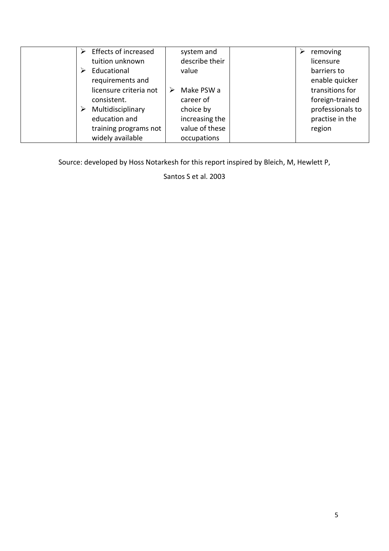| Effects of increased   | system and      | removing<br>➤    |
|------------------------|-----------------|------------------|
| tuition unknown        | describe their  | licensure        |
| Educational            | value           | barriers to      |
| requirements and       |                 | enable quicker   |
| licensure criteria not | Make PSW a<br>➤ | transitions for  |
| consistent.            | career of       | foreign-trained  |
| Multidisciplinary      | choice by       | professionals to |
| education and          | increasing the  | practise in the  |
| training programs not  | value of these  | region           |
| widely available       | occupations     |                  |

Source: developed by Hoss Notarkesh for this report inspired by Bleich, M, Hewlett P,

Santos S et al. 2003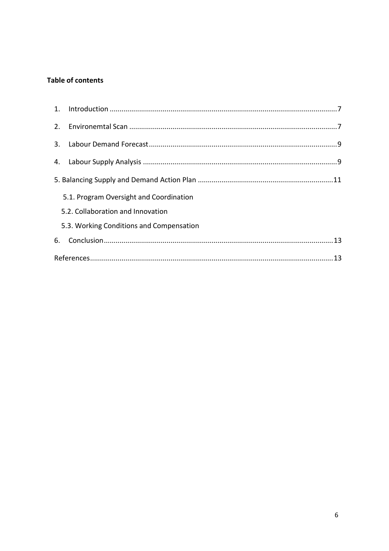### **Table of contents**

| 5.1. Program Oversight and Coordination  |  |
|------------------------------------------|--|
| 5.2. Collaboration and Innovation        |  |
| 5.3. Working Conditions and Compensation |  |
|                                          |  |
|                                          |  |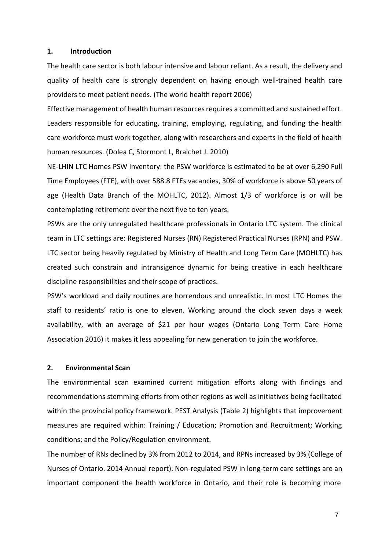#### <span id="page-6-0"></span>**1. Introduction**

The health care sector is both labour intensive and labour reliant. As a result, the delivery and quality of health care is strongly dependent on having enough well-trained health care providers to meet patient needs. (The world health report 2006)

Effective management of health human resources requires a committed and sustained effort. Leaders responsible for educating, training, employing, regulating, and funding the health care workforce must work together, along with researchers and experts in the field of health human resources. (Dolea C, Stormont L, Braichet J. 2010)

NE-LHIN LTC Homes PSW Inventory: the PSW workforce is estimated to be at over 6,290 Full Time Employees (FTE), with over 588.8 FTEs vacancies, 30% of workforce is above 50 years of age (Health Data Branch of the MOHLTC, 2012). Almost 1/3 of workforce is or will be contemplating retirement over the next five to ten years.

PSWs are the only unregulated healthcare professionals in Ontario LTC system. The clinical team in LTC settings are: Registered Nurses (RN) Registered Practical Nurses (RPN) and PSW. LTC sector being heavily regulated by Ministry of Health and Long Term Care (MOHLTC) has created such constrain and intransigence dynamic for being creative in each healthcare discipline responsibilities and their scope of practices.

PSW's workload and daily routines are horrendous and unrealistic. In most LTC Homes the staff to residents' ratio is one to eleven. Working around the clock seven days a week availability, with an average of \$21 per hour wages (Ontario Long Term Care Home Association 2016) it makes it less appealing for new generation to join the workforce.

#### <span id="page-6-1"></span>**2. Environmental Scan**

The environmental scan examined current mitigation efforts along with findings and recommendations stemming efforts from other regions as well as initiatives being facilitated within the provincial policy framework. PEST Analysis (Table 2) highlights that improvement measures are required within: Training / Education; Promotion and Recruitment; Working conditions; and the Policy/Regulation environment.

The number of RNs declined by 3% from 2012 to 2014, and RPNs increased by 3% (College of Nurses of Ontario. 2014 Annual report). Non-regulated PSW in long-term care settings are an important component the health workforce in Ontario, and their role is becoming more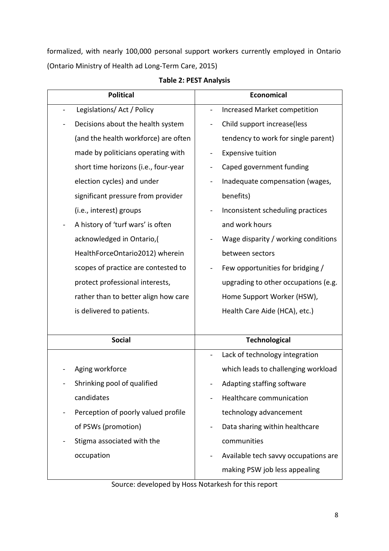formalized, with nearly 100,000 personal support workers currently employed in Ontario (Ontario Ministry of Health ad Long-Term Care, 2015)

| <b>Political</b>                     | <b>Economical</b>                    |
|--------------------------------------|--------------------------------------|
| Legislations/ Act / Policy           | Increased Market competition         |
| Decisions about the health system    | Child support increase(less          |
| (and the health workforce) are often | tendency to work for single parent)  |
| made by politicians operating with   | <b>Expensive tuition</b>             |
| short time horizons (i.e., four-year | Caped government funding             |
| election cycles) and under           | Inadequate compensation (wages,      |
| significant pressure from provider   | benefits)                            |
| (i.e., interest) groups              | Inconsistent scheduling practices    |
| A history of 'turf wars' is often    | and work hours                       |
| acknowledged in Ontario,(            | Wage disparity / working conditions  |
| HealthForceOntario2012) wherein      | between sectors                      |
| scopes of practice are contested to  | Few opportunities for bridging /     |
| protect professional interests,      | upgrading to other occupations (e.g. |
| rather than to better align how care | Home Support Worker (HSW),           |
| is delivered to patients.            | Health Care Aide (HCA), etc.)        |
|                                      |                                      |
| <b>Social</b>                        | <b>Technological</b>                 |
|                                      | Lack of technology integration       |
| Aging workforce                      | which leads to challenging workload  |
| Shrinking pool of qualified          | Adapting staffing software           |
| candidates                           | Healthcare communication             |
| Perception of poorly valued profile  | technology advancement               |
| of PSWs (promotion)                  | Data sharing within healthcare       |
| Stigma associated with the           | communities                          |
| occupation                           | Available tech savvy occupations are |
|                                      | making PSW job less appealing        |

| Table 2: PEST Analysis |
|------------------------|
|------------------------|

Source: developed by Hoss Notarkesh for this report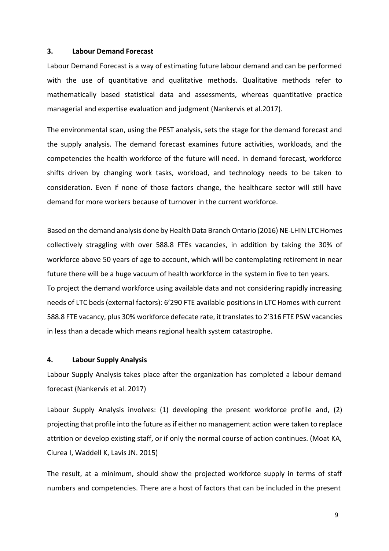#### **3. Labour Demand Forecast**

Labour Demand Forecast is a way of estimating future labour demand and can be performed with the use of quantitative and qualitative methods. Qualitative methods refer to mathematically based statistical data and assessments, whereas quantitative practice managerial and expertise evaluation and judgment (Nankervis et al.2017).

The environmental scan, using the PEST analysis, sets the stage for the demand forecast and the supply analysis. The demand forecast examines future activities, workloads, and the competencies the health workforce of the future will need. In demand forecast, workforce shifts driven by changing work tasks, workload, and technology needs to be taken to consideration. Even if none of those factors change, the healthcare sector will still have demand for more workers because of turnover in the current workforce.

Based on the demand analysis done by Health Data Branch Ontario (2016) NE-LHIN LTC Homes collectively straggling with over 588.8 FTEs vacancies, in addition by taking the 30% of workforce above 50 years of age to account, which will be contemplating retirement in near future there will be a huge vacuum of health workforce in the system in five to ten years. To project the demand workforce using available data and not considering rapidly increasing needs of LTC beds (external factors): 6'290 FTE available positions in LTC Homes with current 588.8 FTE vacancy, plus 30% workforce defecate rate, it translatesto 2'316 FTE PSW vacancies in less than a decade which means regional health system catastrophe.

#### <span id="page-8-0"></span>**4. Labour Supply Analysis**

Labour Supply Analysis takes place after the organization has completed a labour demand forecast (Nankervis et al. 2017)

Labour Supply Analysis involves: (1) developing the present workforce profile and, (2) projecting that profile into the future asif either no management action were taken to replace attrition or develop existing staff, or if only the normal course of action continues. (Moat KA, Ciurea I, Waddell K, Lavis JN. 2015)

The result, at a minimum, should show the projected workforce supply in terms of staff numbers and competencies. There are a host of factors that can be included in the present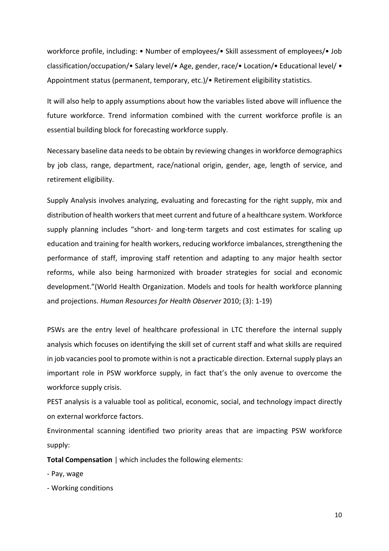workforce profile, including: • Number of employees/• Skill assessment of employees/• Job classification/occupation/• Salary level/• Age, gender, race/• Location/• Educational level/ • Appointment status (permanent, temporary, etc.)/• Retirement eligibility statistics.

It will also help to apply assumptions about how the variables listed above will influence the future workforce. Trend information combined with the current workforce profile is an essential building block for forecasting workforce supply.

Necessary baseline data needs to be obtain by reviewing changes in workforce demographics by job class, range, department, race/national origin, gender, age, length of service, and retirement eligibility.

Supply Analysis involves analyzing, evaluating and forecasting for the right supply, mix and distribution of health workers that meet current and future of a healthcare system. Workforce supply planning includes "short- and long-term targets and cost estimates for scaling up education and training for health workers, reducing workforce imbalances, strengthening the performance of staff, improving staff retention and adapting to any major health sector reforms, while also being harmonized with broader strategies for social and economic development."(World Health Organization. Models and tools for health workforce planning and projections. *Human Resources for Health Observer* 2010; (3): 1-19)

PSWs are the entry level of healthcare professional in LTC therefore the internal supply analysis which focuses on identifying the skill set of current staff and what skills are required in job vacancies pool to promote within is not a practicable direction. External supply plays an important role in PSW workforce supply, in fact that's the only avenue to overcome the workforce supply crisis.

PEST analysis is a valuable tool as political, economic, social, and technology impact directly on external workforce factors.

Environmental scanning identified two priority areas that are impacting PSW workforce supply:

**Total Compensation** | which includes the following elements:

- Pay, wage
- Working conditions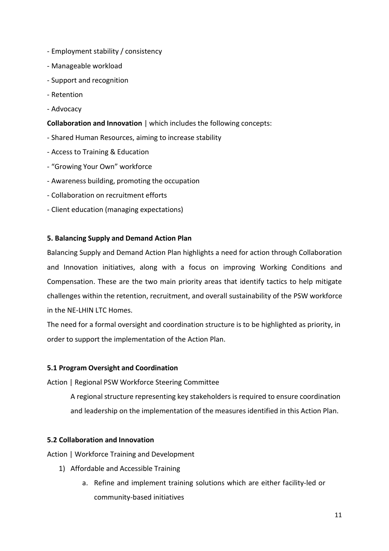- Employment stability / consistency
- Manageable workload
- Support and recognition
- Retention
- Advocacy

#### **Collaboration and Innovation** | which includes the following concepts:

- Shared Human Resources, aiming to increase stability
- Access to Training & Education
- "Growing Your Own" workforce
- Awareness building, promoting the occupation
- Collaboration on recruitment efforts
- Client education (managing expectations)

#### <span id="page-10-0"></span>**5. Balancing Supply and Demand Action Plan**

Balancing Supply and Demand Action Plan highlights a need for action through Collaboration and Innovation initiatives, along with a focus on improving Working Conditions and Compensation. These are the two main priority areas that identify tactics to help mitigate challenges within the retention, recruitment, and overall sustainability of the PSW workforce in the NE-LHIN LTC Homes.

The need for a formal oversight and coordination structure is to be highlighted as priority, in order to support the implementation of the Action Plan.

#### **5.1 Program Oversight and Coordination**

Action | Regional PSW Workforce Steering Committee

A regional structure representing key stakeholders is required to ensure coordination and leadership on the implementation of the measures identified in this Action Plan.

#### **5.2 Collaboration and Innovation**

Action | Workforce Training and Development

- 1) Affordable and Accessible Training
	- a. Refine and implement training solutions which are either facility-led or community-based initiatives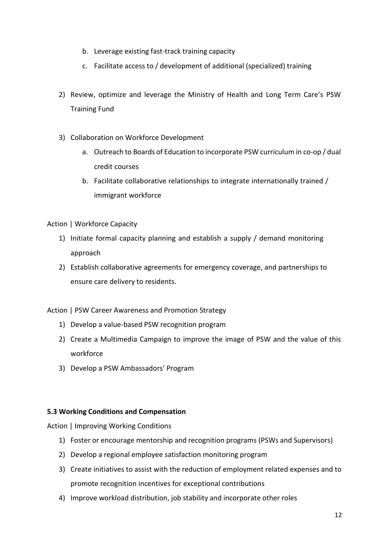- b. Leverage existing fast-track training capacity
- c. Facilitate access to / development of additional (specialized) training
- 2) Review, optimize and leverage the Ministry of Health and Long Term Care's PSW Training Fund
- 3) Collaboration on Workforce Development
	- a. Outreach to Boards of Education to incorporate PSW curriculum in co-op / dual credit courses
	- b. Facilitate collaborative relationships to integrate internationally trained / immigrant workforce

Action | Workforce Capacity

- 1) Initiate formal capacity planning and establish a supply / demand monitoring approach
- 2) Establish collaborative agreements for emergency coverage, and partnerships to ensure care delivery to residents.

Action | PSW Career Awareness and Promotion Strategy

- 1) Develop a value-based PSW recognition program
- 2) Create a Multimedia Campaign to improve the image of PSW and the value of this workforce
- 3) Develop a PSW Ambassadors' Program

## **5.3 Working Conditions and Compensation**

Action | Improving Working Conditions

- 1) Foster or encourage mentorship and recognition programs (PSWs and Supervisors)
- 2) Develop a regional employee satisfaction monitoring program
- 3) Create initiatives to assist with the reduction of employment related expenses and to promote recognition incentives for exceptional contributions
- 4) Improve workload distribution, job stability and incorporate other roles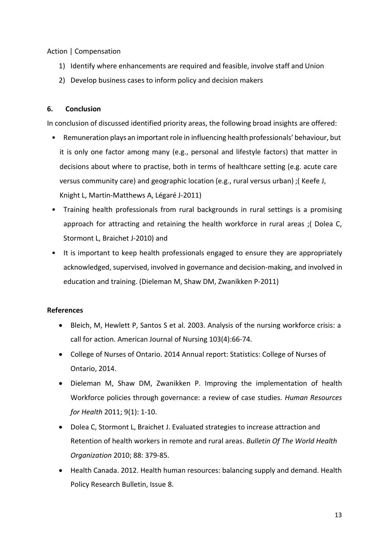Action | Compensation

- 1) Identify where enhancements are required and feasible, involve staff and Union
- 2) Develop business cases to inform policy and decision makers

## <span id="page-12-0"></span>**6. Conclusion**

In conclusion of discussed identified priority areas, the following broad insights are offered:

- Remuneration plays an important role in influencing health professionals' behaviour, but it is only one factor among many (e.g., personal and lifestyle factors) that matter in decisions about where to practise, both in terms of healthcare setting (e.g. acute care versus community care) and geographic location (e.g., rural versus urban) ;( Keefe J, Knight L, Martin-Matthews A, Légaré J-2011)
- Training health professionals from rural backgrounds in rural settings is a promising approach for attracting and retaining the health workforce in rural areas ;( Dolea C, Stormont L, Braichet J-2010) and
- It is important to keep health professionals engaged to ensure they are appropriately acknowledged, supervised, involved in governance and decision-making, and involved in education and training. (Dieleman M, Shaw DM, Zwanikken P-2011)

## **References**

- <span id="page-12-1"></span>• Bleich, M, Hewlett P, Santos S et al. 2003. Analysis of the nursing workforce crisis: a call for action. American Journal of Nursing 103(4):66-74.
- College of Nurses of Ontario. 2014 Annual report: Statistics: College of Nurses of Ontario, 2014.
- Dieleman M, Shaw DM, Zwanikken P. Improving the implementation of health Workforce policies through governance: a review of case studies. *Human Resources for Health* 2011; 9(1): 1-10.
- Dolea C, Stormont L, Braichet J. Evaluated strategies to increase attraction and Retention of health workers in remote and rural areas. *Bulletin Of The World Health Organization* 2010; 88: 379-85.
- Health Canada. 2012. Health human resources: balancing supply and demand. Health Policy Research Bulletin, Issue 8.